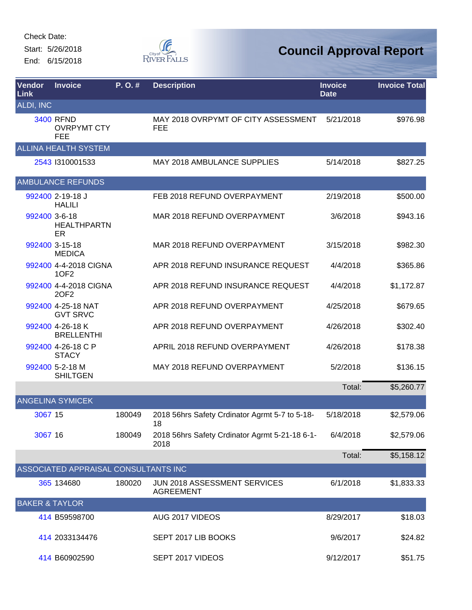Start: 5/26/2018 End: 6/15/2018



| <b>Vendor</b><br><b>Link</b> | <b>Invoice</b>                                       | P. O. # | <b>Description</b>                                      | <b>Invoice</b><br><b>Date</b> | <b>Invoice Total</b> |
|------------------------------|------------------------------------------------------|---------|---------------------------------------------------------|-------------------------------|----------------------|
| <b>ALDI, INC</b>             |                                                      |         |                                                         |                               |                      |
|                              | <b>3400 RFND</b><br><b>OVRPYMT CTY</b><br><b>FEE</b> |         | MAY 2018 OVRPYMT OF CITY ASSESSMENT<br><b>FEE</b>       | 5/21/2018                     | \$976.98             |
|                              | <b>ALLINA HEALTH SYSTEM</b>                          |         |                                                         |                               |                      |
|                              | 2543 1310001533                                      |         | <b>MAY 2018 AMBULANCE SUPPLIES</b>                      | 5/14/2018                     | \$827.25             |
|                              | <b>AMBULANCE REFUNDS</b>                             |         |                                                         |                               |                      |
|                              | 992400 2-19-18 J<br><b>HALILI</b>                    |         | FEB 2018 REFUND OVERPAYMENT                             | 2/19/2018                     | \$500.00             |
| 992400 3-6-18                | <b>HEALTHPARTN</b><br>ER                             |         | MAR 2018 REFUND OVERPAYMENT                             | 3/6/2018                      | \$943.16             |
|                              | 992400 3-15-18<br><b>MEDICA</b>                      |         | MAR 2018 REFUND OVERPAYMENT                             | 3/15/2018                     | \$982.30             |
|                              | 992400 4-4-2018 CIGNA<br>10F2                        |         | APR 2018 REFUND INSURANCE REQUEST                       | 4/4/2018                      | \$365.86             |
|                              | 992400 4-4-2018 CIGNA<br>20F2                        |         | APR 2018 REFUND INSURANCE REQUEST                       | 4/4/2018                      | \$1,172.87           |
|                              | 992400 4-25-18 NAT<br><b>GVT SRVC</b>                |         | APR 2018 REFUND OVERPAYMENT                             | 4/25/2018                     | \$679.65             |
|                              | 992400 4-26-18 K<br><b>BRELLENTHI</b>                |         | APR 2018 REFUND OVERPAYMENT                             | 4/26/2018                     | \$302.40             |
|                              | 992400 4-26-18 C P<br><b>STACY</b>                   |         | APRIL 2018 REFUND OVERPAYMENT                           | 4/26/2018                     | \$178.38             |
|                              | 992400 5-2-18 M<br><b>SHILTGEN</b>                   |         | MAY 2018 REFUND OVERPAYMENT                             | 5/2/2018                      | \$136.15             |
|                              |                                                      |         |                                                         | Total:                        | \$5,260.77           |
|                              | <b>ANGELINA SYMICEK</b>                              |         |                                                         |                               |                      |
| 3067 15                      |                                                      | 180049  | 2018 56hrs Safety Crdinator Agrmt 5-7 to 5-18-<br>18    | 5/18/2018                     | \$2,579.06           |
| 3067 16                      |                                                      | 180049  | 2018 56hrs Safety Crdinator Agrmt 5-21-18 6-1-<br>2018  | 6/4/2018                      | \$2,579.06           |
|                              |                                                      |         |                                                         | Total:                        | \$5,158.12           |
|                              | ASSOCIATED APPRAISAL CONSULTANTS INC                 |         |                                                         |                               |                      |
|                              | 365 134680                                           | 180020  | <b>JUN 2018 ASSESSMENT SERVICES</b><br><b>AGREEMENT</b> | 6/1/2018                      | \$1,833.33           |
| <b>BAKER &amp; TAYLOR</b>    |                                                      |         |                                                         |                               |                      |
|                              | 414 B59598700                                        |         | AUG 2017 VIDEOS                                         | 8/29/2017                     | \$18.03              |
|                              | 414 2033134476                                       |         | SEPT 2017 LIB BOOKS                                     | 9/6/2017                      | \$24.82              |
|                              | 414 B60902590                                        |         | SEPT 2017 VIDEOS                                        | 9/12/2017                     | \$51.75              |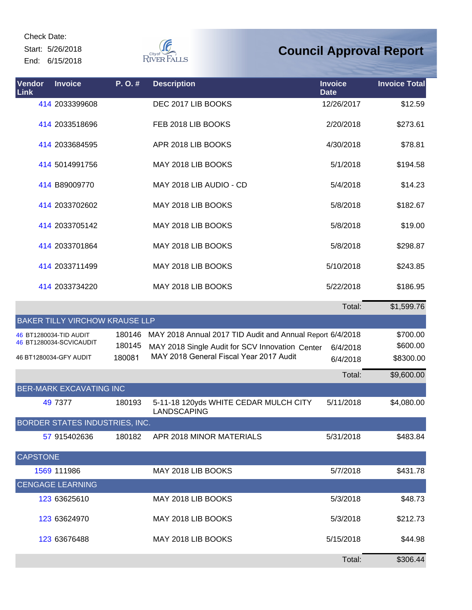Start: 5/26/2018 End: 6/15/2018



| Vendor<br>Link  | <b>Invoice</b>                        | P.O.#  | <b>Description</b>                                        | <b>Invoice</b><br><b>Date</b> | <b>Invoice Total</b> |
|-----------------|---------------------------------------|--------|-----------------------------------------------------------|-------------------------------|----------------------|
|                 | 414 2033399608                        |        | DEC 2017 LIB BOOKS                                        | 12/26/2017                    | \$12.59              |
|                 | 414 2033518696                        |        | FEB 2018 LIB BOOKS                                        | 2/20/2018                     | \$273.61             |
|                 | 414 2033684595                        |        | APR 2018 LIB BOOKS                                        | 4/30/2018                     | \$78.81              |
|                 | 414 5014991756                        |        | MAY 2018 LIB BOOKS                                        | 5/1/2018                      | \$194.58             |
|                 | 414 B89009770                         |        | MAY 2018 LIB AUDIO - CD                                   | 5/4/2018                      | \$14.23              |
|                 | 414 2033702602                        |        | MAY 2018 LIB BOOKS                                        | 5/8/2018                      | \$182.67             |
|                 | 414 2033705142                        |        | MAY 2018 LIB BOOKS                                        | 5/8/2018                      | \$19.00              |
|                 | 414 2033701864                        |        | MAY 2018 LIB BOOKS                                        | 5/8/2018                      | \$298.87             |
|                 | 414 2033711499                        |        | MAY 2018 LIB BOOKS                                        | 5/10/2018                     | \$243.85             |
|                 | 414 2033734220                        |        | MAY 2018 LIB BOOKS                                        | 5/22/2018                     | \$186.95             |
|                 |                                       |        |                                                           | Total:                        | \$1,599.76           |
|                 | <b>BAKER TILLY VIRCHOW KRAUSE LLP</b> |        |                                                           |                               |                      |
|                 | 46 BT1280034-TID AUDIT                | 180146 | MAY 2018 Annual 2017 TID Audit and Annual Report 6/4/2018 |                               | \$700.00             |
|                 | 46 BT1280034-SCVICAUDIT               | 180145 | MAY 2018 Single Audit for SCV Innovation Center           | 6/4/2018                      | \$600.00             |
|                 | 46 BT1280034-GFY AUDIT                | 180081 | MAY 2018 General Fiscal Year 2017 Audit                   | 6/4/2018                      | \$8300.00            |
|                 |                                       |        |                                                           | Total:                        | \$9,600.00           |
|                 | <b>BER-MARK EXCAVATING INC</b>        |        |                                                           |                               |                      |
|                 | 49 7377                               | 180193 | 5-11-18 120yds WHITE CEDAR MULCH CITY<br>LANDSCAPING      | 5/11/2018                     | \$4,080.00           |
|                 | <b>BORDER STATES INDUSTRIES, INC.</b> |        |                                                           |                               |                      |
|                 | 57 915402636                          | 180182 | APR 2018 MINOR MATERIALS                                  | 5/31/2018                     | \$483.84             |
| <b>CAPSTONE</b> |                                       |        |                                                           |                               |                      |
|                 | 1569 111986                           |        | MAY 2018 LIB BOOKS                                        | 5/7/2018                      | \$431.78             |
|                 | <b>CENGAGE LEARNING</b>               |        |                                                           |                               |                      |
|                 | 123 63625610                          |        | MAY 2018 LIB BOOKS                                        | 5/3/2018                      | \$48.73              |
|                 | 123 63624970                          |        | MAY 2018 LIB BOOKS                                        | 5/3/2018                      | \$212.73             |
|                 | 123 63676488                          |        | MAY 2018 LIB BOOKS                                        | 5/15/2018                     | \$44.98              |
|                 |                                       |        |                                                           | Total:                        | \$306.44             |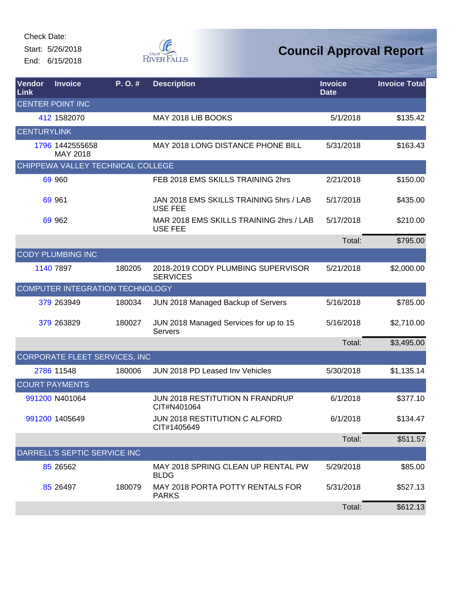Start: 5/26/2018 End: 6/15/2018



| Vendor<br>Link     | <b>Invoice</b>                    | P.O.#  | <b>Description</b>                                        | <b>Invoice</b><br><b>Date</b> | <b>Invoice Total</b> |
|--------------------|-----------------------------------|--------|-----------------------------------------------------------|-------------------------------|----------------------|
|                    | <b>CENTER POINT INC</b>           |        |                                                           |                               |                      |
|                    | 412 1582070                       |        | MAY 2018 LIB BOOKS                                        | 5/1/2018                      | \$135.42             |
| <b>CENTURYLINK</b> |                                   |        |                                                           |                               |                      |
|                    | 1796 1442555658<br>MAY 2018       |        | MAY 2018 LONG DISTANCE PHONE BILL                         | 5/31/2018                     | \$163.43             |
|                    | CHIPPEWA VALLEY TECHNICAL COLLEGE |        |                                                           |                               |                      |
|                    | 69 960                            |        | FEB 2018 EMS SKILLS TRAINING 2hrs                         | 2/21/2018                     | \$150.00             |
|                    | 69 961                            |        | JAN 2018 EMS SKILLS TRAINING 5hrs / LAB<br><b>USE FEE</b> | 5/17/2018                     | \$435.00             |
|                    | 69 962                            |        | MAR 2018 EMS SKILLS TRAINING 2hrs / LAB<br><b>USE FEE</b> | 5/17/2018                     | \$210.00             |
|                    |                                   |        |                                                           | Total:                        | \$795.00             |
|                    | <b>CODY PLUMBING INC</b>          |        |                                                           |                               |                      |
|                    | 1140 7897                         | 180205 | 2018-2019 CODY PLUMBING SUPERVISOR<br><b>SERVICES</b>     | 5/21/2018                     | \$2,000.00           |
|                    | COMPUTER INTEGRATION TECHNOLOGY   |        |                                                           |                               |                      |
|                    | 379 263949                        | 180034 | JUN 2018 Managed Backup of Servers                        | 5/16/2018                     | \$785.00             |
|                    | 379 263829                        | 180027 | JUN 2018 Managed Services for up to 15<br>Servers         | 5/16/2018                     | \$2,710.00           |
|                    |                                   |        |                                                           | Total:                        | \$3,495.00           |
|                    | CORPORATE FLEET SERVICES, INC     |        |                                                           |                               |                      |
|                    | 2786 11548                        | 180006 | JUN 2018 PD Leased Inv Vehicles                           | 5/30/2018                     | \$1,135.14           |
|                    | <b>COURT PAYMENTS</b>             |        |                                                           |                               |                      |
|                    | 991200 N401064                    |        | JUN 2018 RESTITUTION N FRANDRUP<br>CIT#N401064            | 6/1/2018                      | \$377.10             |
|                    | 991200 1405649                    |        | JUN 2018 RESTITUTION C ALFORD<br>CIT#1405649              | 6/1/2018                      | \$134.47             |
|                    |                                   |        |                                                           | Total:                        | \$511.57             |
|                    | DARRELL'S SEPTIC SERVICE INC      |        |                                                           |                               |                      |
|                    | 85 265 62                         |        | MAY 2018 SPRING CLEAN UP RENTAL PW<br><b>BLDG</b>         | 5/29/2018                     | \$85.00              |
|                    | 85 26497                          | 180079 | MAY 2018 PORTA POTTY RENTALS FOR<br><b>PARKS</b>          | 5/31/2018                     | \$527.13             |
|                    |                                   |        |                                                           | Total:                        | \$612.13             |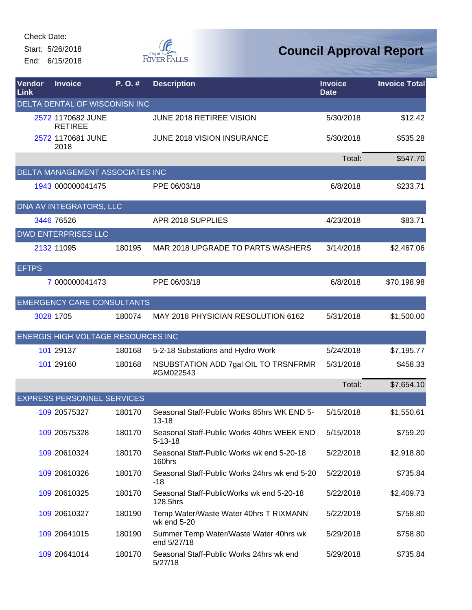Start: 5/26/2018 End: 6/15/2018



| Vendor<br>Link | <b>Invoice</b>                            | P.O.#  | <b>Description</b>                                          | <b>Invoice</b><br><b>Date</b> | <b>Invoice Total</b> |
|----------------|-------------------------------------------|--------|-------------------------------------------------------------|-------------------------------|----------------------|
|                | DELTA DENTAL OF WISCONISN INC             |        |                                                             |                               |                      |
|                | 2572 1170682 JUNE<br><b>RETIREE</b>       |        | JUNE 2018 RETIREE VISION                                    | 5/30/2018                     | \$12.42              |
|                | 2572 1170681 JUNE<br>2018                 |        | JUNE 2018 VISION INSURANCE                                  | 5/30/2018                     | \$535.28             |
|                |                                           |        |                                                             | Total:                        | \$547.70             |
|                | DELTA MANAGEMENT ASSOCIATES INC           |        |                                                             |                               |                      |
|                | 1943 000000041475                         |        | PPE 06/03/18                                                | 6/8/2018                      | \$233.71             |
|                | <b>DNA AV INTEGRATORS, LLC</b>            |        |                                                             |                               |                      |
|                | 3446 76526                                |        | APR 2018 SUPPLIES                                           | 4/23/2018                     | \$83.71              |
|                | <b>DWD ENTERPRISES LLC</b>                |        |                                                             |                               |                      |
|                | 2132 11095                                | 180195 | MAR 2018 UPGRADE TO PARTS WASHERS                           | 3/14/2018                     | \$2,467.06           |
| <b>EFTPS</b>   |                                           |        |                                                             |                               |                      |
|                | 7 000000041473                            |        | PPE 06/03/18                                                | 6/8/2018                      | \$70,198.98          |
|                | <b>EMERGENCY CARE CONSULTANTS</b>         |        |                                                             |                               |                      |
|                | 3028 1705                                 | 180074 | MAY 2018 PHYSICIAN RESOLUTION 6162                          | 5/31/2018                     | \$1,500.00           |
|                | <b>ENERGIS HIGH VOLTAGE RESOURCES INC</b> |        |                                                             |                               |                      |
|                | 101 29137                                 | 180168 | 5-2-18 Substations and Hydro Work                           | 5/24/2018                     | \$7,195.77           |
|                | 101 29160                                 | 180168 | NSUBSTATION ADD 7gal OIL TO TRSNFRMR<br>#GM022543           | 5/31/2018                     | \$458.33             |
|                |                                           |        |                                                             | Total:                        | \$7,654.10           |
|                | <b>EXPRESS PERSONNEL SERVICES</b>         |        |                                                             |                               |                      |
|                | 109 20575327                              | 180170 | Seasonal Staff-Public Works 85hrs WK END 5-<br>$13 - 18$    | 5/15/2018                     | \$1,550.61           |
|                | 109 20575328                              | 180170 | Seasonal Staff-Public Works 40hrs WEEK END<br>$5 - 13 - 18$ | 5/15/2018                     | \$759.20             |
|                | 109 20610324                              | 180170 | Seasonal Staff-Public Works wk end 5-20-18<br>160hrs        | 5/22/2018                     | \$2,918.80           |
|                | 109 20610326                              | 180170 | Seasonal Staff-Public Works 24hrs wk end 5-20<br>$-18$      | 5/22/2018                     | \$735.84             |
|                | 109 20610325                              | 180170 | Seasonal Staff-PublicWorks wk end 5-20-18<br>128.5hrs       | 5/22/2018                     | \$2,409.73           |
|                | 109 20610327                              | 180190 | Temp Water/Waste Water 40hrs T RIXMANN<br>wk end 5-20       | 5/22/2018                     | \$758.80             |
|                | 109 20641015                              | 180190 | Summer Temp Water/Waste Water 40hrs wk<br>end 5/27/18       | 5/29/2018                     | \$758.80             |
|                | 109 20641014                              | 180170 | Seasonal Staff-Public Works 24hrs wk end<br>5/27/18         | 5/29/2018                     | \$735.84             |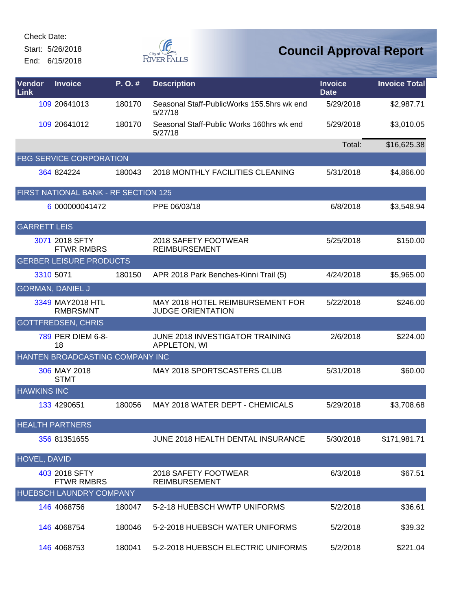Start: 5/26/2018 End: 6/15/2018



| Vendor<br><b>Link</b> | <b>Invoice</b>                       | P.O.#  | <b>Description</b>                                           | <b>Invoice</b><br><b>Date</b> | <b>Invoice Total</b> |
|-----------------------|--------------------------------------|--------|--------------------------------------------------------------|-------------------------------|----------------------|
|                       | 109 20641013                         | 180170 | Seasonal Staff-PublicWorks 155.5hrs wk end<br>5/27/18        | 5/29/2018                     | \$2,987.71           |
|                       | 109 20641012                         | 180170 | Seasonal Staff-Public Works 160hrs wk end<br>5/27/18         | 5/29/2018                     | \$3,010.05           |
|                       |                                      |        |                                                              | Total:                        | \$16,625.38          |
|                       | <b>FBG SERVICE CORPORATION</b>       |        |                                                              |                               |                      |
|                       | 364 824224                           | 180043 | 2018 MONTHLY FACILITIES CLEANING                             | 5/31/2018                     | \$4,866.00           |
|                       | FIRST NATIONAL BANK - RF SECTION 125 |        |                                                              |                               |                      |
|                       | 6 000000041472                       |        | PPE 06/03/18                                                 | 6/8/2018                      | \$3,548.94           |
| <b>GARRETT LEIS</b>   |                                      |        |                                                              |                               |                      |
|                       | 3071 2018 SFTY<br><b>FTWR RMBRS</b>  |        | 2018 SAFETY FOOTWEAR<br><b>REIMBURSEMENT</b>                 | 5/25/2018                     | \$150.00             |
|                       | <b>GERBER LEISURE PRODUCTS</b>       |        |                                                              |                               |                      |
|                       | 3310 5071                            | 180150 | APR 2018 Park Benches-Kinni Trail (5)                        | 4/24/2018                     | \$5,965.00           |
|                       | <b>GORMAN, DANIEL J</b>              |        |                                                              |                               |                      |
|                       | 3349 MAY2018 HTL<br><b>RMBRSMNT</b>  |        | MAY 2018 HOTEL REIMBURSEMENT FOR<br><b>JUDGE ORIENTATION</b> | 5/22/2018                     | \$246.00             |
|                       | <b>GOTTFREDSEN, CHRIS</b>            |        |                                                              |                               |                      |
|                       | 789 PER DIEM 6-8-<br>18              |        | JUNE 2018 INVESTIGATOR TRAINING<br>APPLETON, WI              | 2/6/2018                      | \$224.00             |
|                       | HANTEN BROADCASTING COMPANY INC      |        |                                                              |                               |                      |
|                       | 306 MAY 2018<br><b>STMT</b>          |        | MAY 2018 SPORTSCASTERS CLUB                                  | 5/31/2018                     | \$60.00              |
| <b>HAWKINS INC</b>    |                                      |        |                                                              |                               |                      |
|                       | 133 4290651                          | 180056 | MAY 2018 WATER DEPT - CHEMICALS                              | 5/29/2018                     | \$3,708.68           |
|                       | <b>HEALTH PARTNERS</b>               |        |                                                              |                               |                      |
|                       | 356 81351655                         |        | JUNE 2018 HEALTH DENTAL INSURANCE                            | 5/30/2018                     | \$171,981.71         |
| <b>HOVEL, DAVID</b>   |                                      |        |                                                              |                               |                      |
|                       | 403 2018 SFTY<br><b>FTWR RMBRS</b>   |        | 2018 SAFETY FOOTWEAR<br><b>REIMBURSEMENT</b>                 | 6/3/2018                      | \$67.51              |
|                       | HUEBSCH LAUNDRY COMPANY              |        |                                                              |                               |                      |
|                       | 146 4068756                          | 180047 | 5-2-18 HUEBSCH WWTP UNIFORMS                                 | 5/2/2018                      | \$36.61              |
|                       | 146 4068754                          | 180046 | 5-2-2018 HUEBSCH WATER UNIFORMS                              | 5/2/2018                      | \$39.32              |
|                       | 146 4068753                          | 180041 | 5-2-2018 HUEBSCH ELECTRIC UNIFORMS                           | 5/2/2018                      | \$221.04             |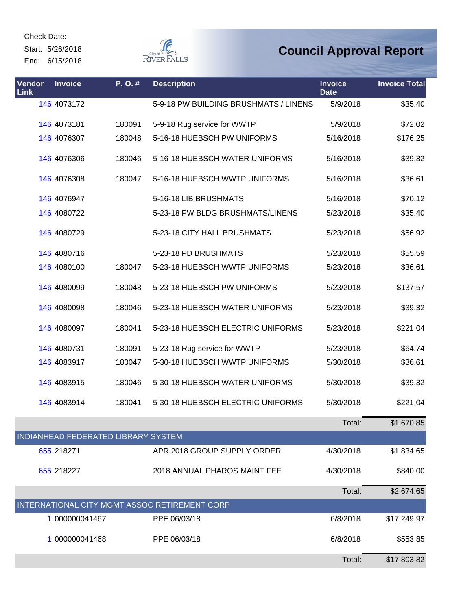Start: 5/26/2018

End: 6/15/2018



| Vendor<br>Link | <b>Invoice</b>                      | P.O.#  | <b>Description</b>                            | <b>Invoice</b><br><b>Date</b> | <b>Invoice Total</b> |
|----------------|-------------------------------------|--------|-----------------------------------------------|-------------------------------|----------------------|
|                | 146 4073172                         |        | 5-9-18 PW BUILDING BRUSHMATS / LINENS         | 5/9/2018                      | \$35.40              |
|                | 146 4073181                         | 180091 | 5-9-18 Rug service for WWTP                   | 5/9/2018                      | \$72.02              |
|                | 146 4076307                         | 180048 | 5-16-18 HUEBSCH PW UNIFORMS                   | 5/16/2018                     | \$176.25             |
|                | 146 4076306                         | 180046 | 5-16-18 HUEBSCH WATER UNIFORMS                | 5/16/2018                     | \$39.32              |
|                | 146 4076308                         | 180047 | 5-16-18 HUEBSCH WWTP UNIFORMS                 | 5/16/2018                     | \$36.61              |
|                | 146 4076947                         |        | 5-16-18 LIB BRUSHMATS                         | 5/16/2018                     | \$70.12              |
|                | 146 4080722                         |        | 5-23-18 PW BLDG BRUSHMATS/LINENS              | 5/23/2018                     | \$35.40              |
|                | 146 4080729                         |        | 5-23-18 CITY HALL BRUSHMATS                   | 5/23/2018                     | \$56.92              |
|                | 146 4080716                         |        | 5-23-18 PD BRUSHMATS                          | 5/23/2018                     | \$55.59              |
|                | 146 4080100                         | 180047 | 5-23-18 HUEBSCH WWTP UNIFORMS                 | 5/23/2018                     | \$36.61              |
|                | 146 4080099                         | 180048 | 5-23-18 HUEBSCH PW UNIFORMS                   | 5/23/2018                     | \$137.57             |
|                | 146 4080098                         | 180046 | 5-23-18 HUEBSCH WATER UNIFORMS                | 5/23/2018                     | \$39.32              |
|                | 146 4080097                         | 180041 | 5-23-18 HUEBSCH ELECTRIC UNIFORMS             | 5/23/2018                     | \$221.04             |
|                | 146 4080731                         | 180091 | 5-23-18 Rug service for WWTP                  | 5/23/2018                     | \$64.74              |
|                | 146 4083917                         | 180047 | 5-30-18 HUEBSCH WWTP UNIFORMS                 | 5/30/2018                     | \$36.61              |
|                | 146 4083915                         | 180046 | 5-30-18 HUEBSCH WATER UNIFORMS                | 5/30/2018                     | \$39.32              |
|                | 146 4083914                         | 180041 | 5-30-18 HUEBSCH ELECTRIC UNIFORMS             | 5/30/2018                     | \$221.04             |
|                |                                     |        |                                               | Total:                        | \$1,670.85           |
|                | INDIANHEAD FEDERATED LIBRARY SYSTEM |        |                                               |                               |                      |
|                | 655 218271                          |        | APR 2018 GROUP SUPPLY ORDER                   | 4/30/2018                     | \$1,834.65           |
|                | 655 218227                          |        | 2018 ANNUAL PHAROS MAINT FEE                  | 4/30/2018                     | \$840.00             |
|                |                                     |        |                                               | Total:                        | \$2,674.65           |
|                |                                     |        | INTERNATIONAL CITY MGMT ASSOC RETIREMENT CORP |                               |                      |
|                | 1 000000041467                      |        | PPE 06/03/18                                  | 6/8/2018                      | \$17,249.97          |
|                | 1 000000041468                      |        | PPE 06/03/18                                  | 6/8/2018                      | \$553.85             |
|                |                                     |        |                                               | Total:                        | \$17,803.82          |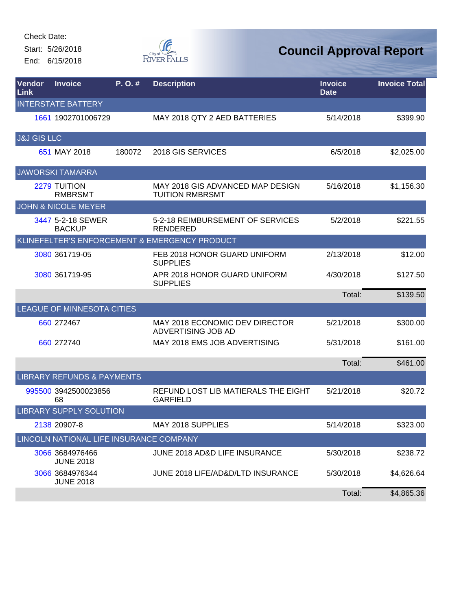Start: 5/26/2018 End: 6/15/2018



| Vendor<br>Link         | <b>Invoice</b>                          | P. O. # | <b>Description</b>                                         | <b>Invoice</b><br><b>Date</b> | <b>Invoice Total</b> |
|------------------------|-----------------------------------------|---------|------------------------------------------------------------|-------------------------------|----------------------|
|                        | <b>INTERSTATE BATTERY</b>               |         |                                                            |                               |                      |
|                        | 1661 1902701006729                      |         | MAY 2018 QTY 2 AED BATTERIES                               | 5/14/2018                     | \$399.90             |
| <b>J&amp;J GIS LLC</b> |                                         |         |                                                            |                               |                      |
|                        | 651 MAY 2018                            | 180072  | 2018 GIS SERVICES                                          | 6/5/2018                      | \$2,025.00           |
|                        | <b>JAWORSKI TAMARRA</b>                 |         |                                                            |                               |                      |
|                        | <b>2279 TUITION</b><br><b>RMBRSMT</b>   |         | MAY 2018 GIS ADVANCED MAP DESIGN<br><b>TUITION RMBRSMT</b> | 5/16/2018                     | \$1,156.30           |
|                        | <b>JOHN &amp; NICOLE MEYER</b>          |         |                                                            |                               |                      |
|                        | 3447 5-2-18 SEWER<br><b>BACKUP</b>      |         | 5-2-18 REIMBURSEMENT OF SERVICES<br><b>RENDERED</b>        | 5/2/2018                      | \$221.55             |
|                        |                                         |         | KLINEFELTER'S ENFORCEMENT & EMERGENCY PRODUCT              |                               |                      |
|                        | 3080 361719-05                          |         | FEB 2018 HONOR GUARD UNIFORM<br><b>SUPPLIES</b>            | 2/13/2018                     | \$12.00              |
|                        | 3080 361719-95                          |         | APR 2018 HONOR GUARD UNIFORM<br><b>SUPPLIES</b>            | 4/30/2018                     | \$127.50             |
|                        |                                         |         |                                                            | Total:                        | \$139.50             |
|                        | LEAGUE OF MINNESOTA CITIES              |         |                                                            |                               |                      |
|                        | 660 272467                              |         | MAY 2018 ECONOMIC DEV DIRECTOR<br>ADVERTISING JOB AD       | 5/21/2018                     | \$300.00             |
|                        | 660 272740                              |         | MAY 2018 EMS JOB ADVERTISING                               | 5/31/2018                     | \$161.00             |
|                        |                                         |         |                                                            | Total:                        | \$461.00             |
|                        | <b>LIBRARY REFUNDS &amp; PAYMENTS</b>   |         |                                                            |                               |                      |
|                        | 995500 3942500023856<br>68              |         | REFUND LOST LIB MATIERALS THE EIGHT<br><b>GARFIELD</b>     | 5/21/2018                     | \$20.72              |
|                        | <b>LIBRARY SUPPLY SOLUTION</b>          |         |                                                            |                               |                      |
|                        | 2138 20907-8                            |         | MAY 2018 SUPPLIES                                          | 5/14/2018                     | \$323.00             |
|                        | LINCOLN NATIONAL LIFE INSURANCE COMPANY |         |                                                            |                               |                      |
|                        | 3066 3684976466<br><b>JUNE 2018</b>     |         | JUNE 2018 AD&D LIFE INSURANCE                              | 5/30/2018                     | \$238.72             |
|                        | 3066 3684976344<br><b>JUNE 2018</b>     |         | JUNE 2018 LIFE/AD&D/LTD INSURANCE                          | 5/30/2018                     | \$4,626.64           |
|                        |                                         |         |                                                            | Total:                        | \$4,865.36           |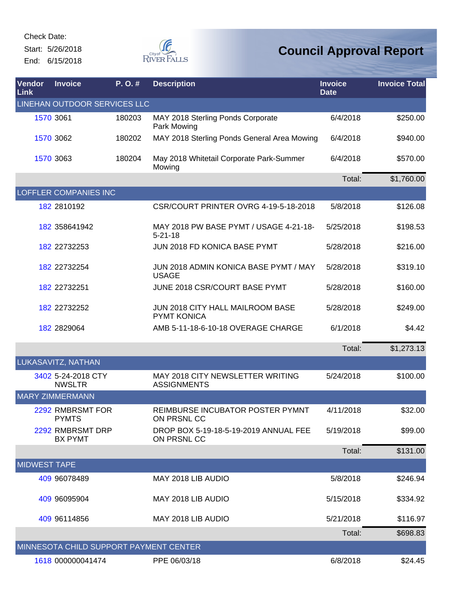Start: 5/26/2018 End: 6/15/2018



| <b>Vendor</b><br>Link | <b>Invoice</b>                         | P. O. # | <b>Description</b>                                      | <b>Invoice</b><br><b>Date</b> | <b>Invoice Total</b> |
|-----------------------|----------------------------------------|---------|---------------------------------------------------------|-------------------------------|----------------------|
|                       | LINEHAN OUTDOOR SERVICES LLC           |         |                                                         |                               |                      |
|                       | 1570 3061                              | 180203  | MAY 2018 Sterling Ponds Corporate<br>Park Mowing        | 6/4/2018                      | \$250.00             |
|                       | 1570 3062                              | 180202  | MAY 2018 Sterling Ponds General Area Mowing             | 6/4/2018                      | \$940.00             |
|                       | 1570 3063                              | 180204  | May 2018 Whitetail Corporate Park-Summer<br>Mowing      | 6/4/2018                      | \$570.00             |
|                       |                                        |         |                                                         | Total:                        | \$1,760.00           |
|                       | <b>LOFFLER COMPANIES INC</b>           |         |                                                         |                               |                      |
|                       | 182 2810192                            |         | CSR/COURT PRINTER OVRG 4-19-5-18-2018                   | 5/8/2018                      | \$126.08             |
|                       | 182 358641942                          |         | MAY 2018 PW BASE PYMT / USAGE 4-21-18-<br>$5 - 21 - 18$ | 5/25/2018                     | \$198.53             |
|                       | 182 22732253                           |         | JUN 2018 FD KONICA BASE PYMT                            | 5/28/2018                     | \$216.00             |
|                       | 182 22732254                           |         | JUN 2018 ADMIN KONICA BASE PYMT / MAY<br><b>USAGE</b>   | 5/28/2018                     | \$319.10             |
|                       | 182 22732251                           |         | JUNE 2018 CSR/COURT BASE PYMT                           | 5/28/2018                     | \$160.00             |
|                       | 182 22732252                           |         | JUN 2018 CITY HALL MAILROOM BASE<br><b>PYMT KONICA</b>  | 5/28/2018                     | \$249.00             |
|                       | 182 2829064                            |         | AMB 5-11-18-6-10-18 OVERAGE CHARGE                      | 6/1/2018                      | \$4.42               |
|                       |                                        |         |                                                         | Total:                        | \$1,273.13           |
|                       | LUKASAVITZ, NATHAN                     |         |                                                         |                               |                      |
|                       | 3402 5-24-2018 CTY<br><b>NWSLTR</b>    |         | MAY 2018 CITY NEWSLETTER WRITING<br><b>ASSIGNMENTS</b>  | 5/24/2018                     | \$100.00             |
|                       | <b>MARY ZIMMERMANN</b>                 |         |                                                         |                               |                      |
|                       | 2292 RMBRSMT FOR<br><b>PYMTS</b>       |         | REIMBURSE INCUBATOR POSTER PYMNT<br>ON PRSNL CC         | 4/11/2018                     | \$32.00              |
|                       | 2292 RMBRSMT DRP<br><b>BX PYMT</b>     |         | DROP BOX 5-19-18-5-19-2019 ANNUAL FEE<br>ON PRSNL CC    | 5/19/2018                     | \$99.00              |
|                       |                                        |         |                                                         | Total:                        | \$131.00             |
| <b>MIDWEST TAPE</b>   |                                        |         |                                                         |                               |                      |
|                       | 409 96078489                           |         | MAY 2018 LIB AUDIO                                      | 5/8/2018                      | \$246.94             |
|                       | 409 96095904                           |         | MAY 2018 LIB AUDIO                                      | 5/15/2018                     | \$334.92             |
|                       | 409 96114856                           |         | MAY 2018 LIB AUDIO                                      | 5/21/2018                     | \$116.97             |
|                       |                                        |         |                                                         | Total:                        | \$698.83             |
|                       | MINNESOTA CHILD SUPPORT PAYMENT CENTER |         |                                                         |                               |                      |
|                       | 1618 000000041474                      |         | PPE 06/03/18                                            | 6/8/2018                      | \$24.45              |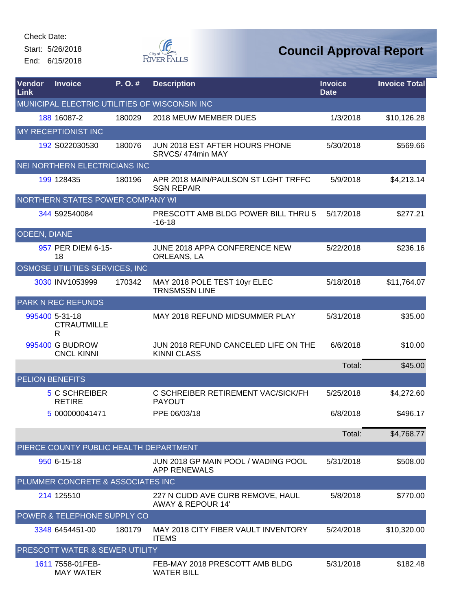Start: 5/26/2018 End: 6/15/2018



| Vendor<br>Link         | <b>Invoice</b>                            | P.O.#  | <b>Description</b>                                               | <b>Invoice</b><br><b>Date</b> | <b>Invoice Total</b> |
|------------------------|-------------------------------------------|--------|------------------------------------------------------------------|-------------------------------|----------------------|
|                        |                                           |        | MUNICIPAL ELECTRIC UTILITIES OF WISCONSIN INC                    |                               |                      |
|                        | 188 16087-2                               | 180029 | 2018 MEUW MEMBER DUES                                            | 1/3/2018                      | \$10,126.28          |
|                        | MY RECEPTIONIST INC                       |        |                                                                  |                               |                      |
|                        | 192 S022030530                            | 180076 | JUN 2018 EST AFTER HOURS PHONE<br>SRVCS/474min MAY               | 5/30/2018                     | \$569.66             |
|                        | NEI NORTHERN ELECTRICIANS INC             |        |                                                                  |                               |                      |
|                        | 199 128435                                | 180196 | APR 2018 MAIN/PAULSON ST LGHT TRFFC<br><b>SGN REPAIR</b>         | 5/9/2018                      | \$4,213.14           |
|                        | NORTHERN STATES POWER COMPANY WI          |        |                                                                  |                               |                      |
|                        | 344 592540084                             |        | PRESCOTT AMB BLDG POWER BILL THRU 5<br>$-16-18$                  | 5/17/2018                     | \$277.21             |
| <b>ODEEN, DIANE</b>    |                                           |        |                                                                  |                               |                      |
|                        | 957 PER DIEM 6-15-<br>18                  |        | JUNE 2018 APPA CONFERENCE NEW<br>ORLEANS, LA                     | 5/22/2018                     | \$236.16             |
|                        | OSMOSE UTILITIES SERVICES, INC            |        |                                                                  |                               |                      |
|                        | 3030 INV1053999                           | 170342 | MAY 2018 POLE TEST 10yr ELEC<br><b>TRNSMSSN LINE</b>             | 5/18/2018                     | \$11,764.07          |
|                        | <b>PARK N REC REFUNDS</b>                 |        |                                                                  |                               |                      |
|                        | 995400 5-31-18<br><b>CTRAUTMILLE</b><br>R |        | MAY 2018 REFUND MIDSUMMER PLAY                                   | 5/31/2018                     | \$35.00              |
|                        | 995400 G BUDROW<br><b>CNCL KINNI</b>      |        | JUN 2018 REFUND CANCELED LIFE ON THE<br><b>KINNI CLASS</b>       | 6/6/2018                      | \$10.00              |
|                        |                                           |        |                                                                  | Total:                        | \$45.00              |
| <b>PELION BENEFITS</b> |                                           |        |                                                                  |                               |                      |
|                        | 5 C SCHREIBER<br><b>RETIRE</b>            |        | C SCHREIBER RETIREMENT VAC/SICK/FH<br><b>PAYOUT</b>              | 5/25/2018                     | \$4,272.60           |
|                        | 5 000000041471                            |        | PPE 06/03/18                                                     | 6/8/2018                      | \$496.17             |
|                        |                                           |        |                                                                  | Total:                        | \$4,768.77           |
|                        | PIERCE COUNTY PUBLIC HEALTH DEPARTMENT    |        |                                                                  |                               |                      |
|                        | 950 6-15-18                               |        | JUN 2018 GP MAIN POOL / WADING POOL<br><b>APP RENEWALS</b>       | 5/31/2018                     | \$508.00             |
|                        | PLUMMER CONCRETE & ASSOCIATES INC         |        |                                                                  |                               |                      |
|                        | 214 125510                                |        | 227 N CUDD AVE CURB REMOVE, HAUL<br><b>AWAY &amp; REPOUR 14'</b> | 5/8/2018                      | \$770.00             |
|                        | POWER & TELEPHONE SUPPLY CO               |        |                                                                  |                               |                      |
|                        | 3348 6454451-00                           | 180179 | MAY 2018 CITY FIBER VAULT INVENTORY<br><b>ITEMS</b>              | 5/24/2018                     | \$10,320.00          |
|                        | PRESCOTT WATER & SEWER UTILITY            |        |                                                                  |                               |                      |
|                        | 1611 7558-01FEB-<br><b>MAY WATER</b>      |        | FEB-MAY 2018 PRESCOTT AMB BLDG<br><b>WATER BILL</b>              | 5/31/2018                     | \$182.48             |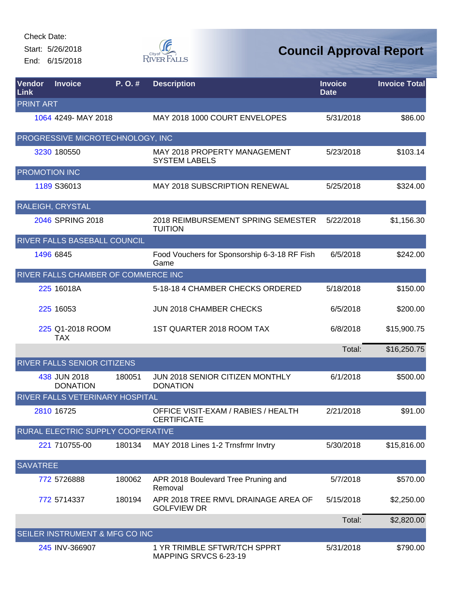Start: 5/26/2018 End: 6/15/2018



| Vendor<br>Link   | <b>Invoice</b>                      | P.O.#  | <b>Description</b>                                        | <b>Invoice</b><br><b>Date</b> | <b>Invoice Total</b> |
|------------------|-------------------------------------|--------|-----------------------------------------------------------|-------------------------------|----------------------|
| <b>PRINT ART</b> |                                     |        |                                                           |                               |                      |
|                  | 1064 4249- MAY 2018                 |        | MAY 2018 1000 COURT ENVELOPES                             | 5/31/2018                     | \$86.00              |
|                  | PROGRESSIVE MICROTECHNOLOGY, INC    |        |                                                           |                               |                      |
|                  | 3230 180550                         |        | MAY 2018 PROPERTY MANAGEMENT<br><b>SYSTEM LABELS</b>      | 5/23/2018                     | \$103.14             |
| PROMOTION INC    |                                     |        |                                                           |                               |                      |
|                  | 1189 S36013                         |        | MAY 2018 SUBSCRIPTION RENEWAL                             | 5/25/2018                     | \$324.00             |
|                  | RALEIGH, CRYSTAL                    |        |                                                           |                               |                      |
|                  | 2046 SPRING 2018                    |        | 2018 REIMBURSEMENT SPRING SEMESTER<br><b>TUITION</b>      | 5/22/2018                     | \$1,156.30           |
|                  | RIVER FALLS BASEBALL COUNCIL        |        |                                                           |                               |                      |
|                  | 1496 6845                           |        | Food Vouchers for Sponsorship 6-3-18 RF Fish<br>Game      | 6/5/2018                      | \$242.00             |
|                  | RIVER FALLS CHAMBER OF COMMERCE INC |        |                                                           |                               |                      |
|                  | 225 16018A                          |        | 5-18-18 4 CHAMBER CHECKS ORDERED                          | 5/18/2018                     | \$150.00             |
|                  | 225 16053                           |        | JUN 2018 CHAMBER CHECKS                                   | 6/5/2018                      | \$200.00             |
|                  | 225 Q1-2018 ROOM<br><b>TAX</b>      |        | 1ST QUARTER 2018 ROOM TAX                                 | 6/8/2018                      | \$15,900.75          |
|                  |                                     |        |                                                           | Total:                        | \$16,250.75          |
|                  | RIVER FALLS SENIOR CITIZENS         |        |                                                           |                               |                      |
|                  | 438 JUN 2018<br><b>DONATION</b>     | 180051 | JUN 2018 SENIOR CITIZEN MONTHLY<br><b>DONATION</b>        | 6/1/2018                      | \$500.00             |
|                  | RIVER FALLS VETERINARY HOSPITAL     |        |                                                           |                               |                      |
|                  | 2810 16725                          |        | OFFICE VISIT-EXAM / RABIES / HEALTH<br><b>CERTIFICATE</b> | 2/21/2018                     | \$91.00              |
|                  | RURAL ELECTRIC SUPPLY COOPERATIVE   |        |                                                           |                               |                      |
|                  | 221 710755-00                       | 180134 | MAY 2018 Lines 1-2 Trnsfrmr Invtry                        | 5/30/2018                     | \$15,816.00          |
| <b>SAVATREE</b>  |                                     |        |                                                           |                               |                      |
|                  | 772 5726888                         | 180062 | APR 2018 Boulevard Tree Pruning and<br>Removal            | 5/7/2018                      | \$570.00             |
|                  | 772 5714337                         | 180194 | APR 2018 TREE RMVL DRAINAGE AREA OF<br><b>GOLFVIEW DR</b> | 5/15/2018                     | \$2,250.00           |
|                  |                                     |        |                                                           | Total:                        | \$2,820.00           |
|                  | SEILER INSTRUMENT & MFG CO INC      |        |                                                           |                               |                      |
|                  | 245 INV-366907                      |        | 1 YR TRIMBLE SFTWR/TCH SPPRT<br>MAPPING SRVCS 6-23-19     | 5/31/2018                     | \$790.00             |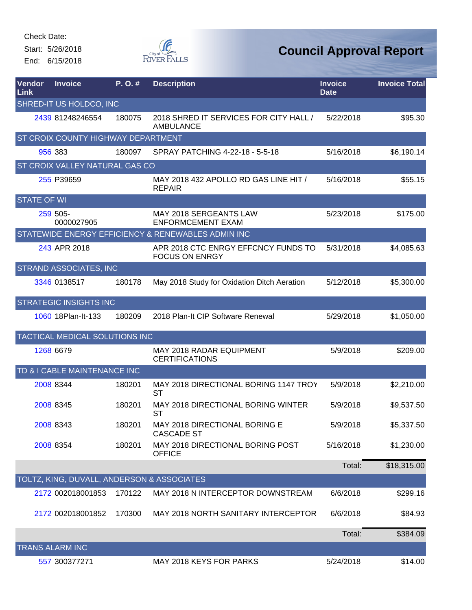Start: 5/26/2018 End: 6/15/2018



| <b>Vendor</b><br>Link | <b>Invoice</b>                             | P. O. # | <b>Description</b>                                           | <b>Invoice</b><br><b>Date</b> | <b>Invoice Total</b> |
|-----------------------|--------------------------------------------|---------|--------------------------------------------------------------|-------------------------------|----------------------|
|                       | SHRED-IT US HOLDCO, INC                    |         |                                                              |                               |                      |
|                       | 2439 81248246554                           | 180075  | 2018 SHRED IT SERVICES FOR CITY HALL /<br><b>AMBULANCE</b>   | 5/22/2018                     | \$95.30              |
|                       | ST CROIX COUNTY HIGHWAY DEPARTMENT         |         |                                                              |                               |                      |
|                       | 956 383                                    | 180097  | SPRAY PATCHING 4-22-18 - 5-5-18                              | 5/16/2018                     | \$6,190.14           |
|                       | ST CROIX VALLEY NATURAL GAS CO             |         |                                                              |                               |                      |
|                       | 255 P39659                                 |         | MAY 2018 432 APOLLO RD GAS LINE HIT /<br><b>REPAIR</b>       | 5/16/2018                     | \$55.15              |
| <b>STATE OF WI</b>    |                                            |         |                                                              |                               |                      |
|                       | 259 505-<br>0000027905                     |         | MAY 2018 SERGEANTS LAW<br><b>ENFORMCEMENT EXAM</b>           | 5/23/2018                     | \$175.00             |
|                       |                                            |         | STATEWIDE ENERGY EFFICIENCY & RENEWABLES ADMIN INC           |                               |                      |
|                       | 243 APR 2018                               |         | APR 2018 CTC ENRGY EFFCNCY FUNDS TO<br><b>FOCUS ON ENRGY</b> | 5/31/2018                     | \$4,085.63           |
|                       | <b>STRAND ASSOCIATES, INC</b>              |         |                                                              |                               |                      |
|                       | 3346 0138517                               | 180178  | May 2018 Study for Oxidation Ditch Aeration                  | 5/12/2018                     | \$5,300.00           |
|                       | <b>STRATEGIC INSIGHTS INC</b>              |         |                                                              |                               |                      |
|                       | 1060 18Plan-lt-133                         | 180209  | 2018 Plan-It CIP Software Renewal                            | 5/29/2018                     | \$1,050.00           |
|                       | TACTICAL MEDICAL SOLUTIONS INC             |         |                                                              |                               |                      |
|                       | 1268 6679                                  |         | MAY 2018 RADAR EQUIPMENT<br><b>CERTIFICATIONS</b>            | 5/9/2018                      | \$209.00             |
|                       | TD & I CABLE MAINTENANCE INC               |         |                                                              |                               |                      |
|                       | 2008 8344                                  | 180201  | MAY 2018 DIRECTIONAL BORING 1147 TROY<br><b>ST</b>           | 5/9/2018                      | \$2,210.00           |
|                       | 2008 8345                                  | 180201  | MAY 2018 DIRECTIONAL BORING WINTER<br>ST                     | 5/9/2018                      | \$9,537.50           |
|                       | 2008 8343                                  | 180201  | MAY 2018 DIRECTIONAL BORING E<br><b>CASCADE ST</b>           | 5/9/2018                      | \$5,337.50           |
|                       | 2008 8354                                  | 180201  | MAY 2018 DIRECTIONAL BORING POST<br><b>OFFICE</b>            | 5/16/2018                     | \$1,230.00           |
|                       |                                            |         |                                                              | Total:                        | \$18,315.00          |
|                       | TOLTZ, KING, DUVALL, ANDERSON & ASSOCIATES |         |                                                              |                               |                      |
|                       | 2172 002018001853                          | 170122  | MAY 2018 N INTERCEPTOR DOWNSTREAM                            | 6/6/2018                      | \$299.16             |
|                       | 2172 002018001852                          | 170300  | MAY 2018 NORTH SANITARY INTERCEPTOR                          | 6/6/2018                      | \$84.93              |
|                       |                                            |         |                                                              | Total:                        | \$384.09             |
|                       | <b>TRANS ALARM INC</b>                     |         |                                                              |                               |                      |
|                       | 557 300377271                              |         | MAY 2018 KEYS FOR PARKS                                      | 5/24/2018                     | \$14.00              |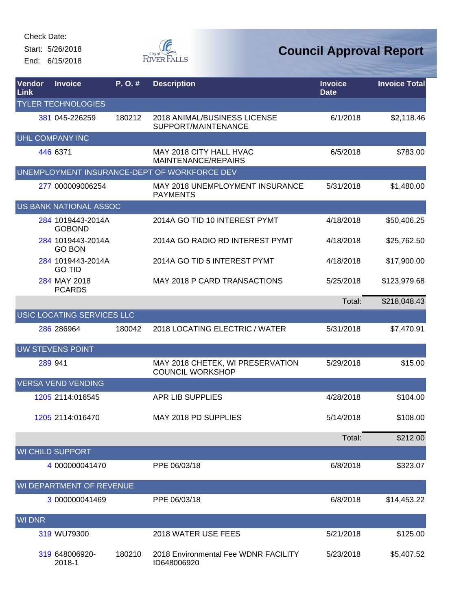Start: 5/26/2018 End: 6/15/2018



| Vendor<br>Link | <b>Invoice</b>                     | P.O.#  | <b>Description</b>                                          | <b>Invoice</b><br><b>Date</b> | <b>Invoice Total</b> |
|----------------|------------------------------------|--------|-------------------------------------------------------------|-------------------------------|----------------------|
|                | <b>TYLER TECHNOLOGIES</b>          |        |                                                             |                               |                      |
|                | 381 045-226259                     | 180212 | 2018 ANIMAL/BUSINESS LICENSE<br>SUPPORT/MAINTENANCE         | 6/1/2018                      | \$2,118.46           |
|                | <b>UHL COMPANY INC</b>             |        |                                                             |                               |                      |
|                | 446 6371                           |        | MAY 2018 CITY HALL HVAC<br>MAINTENANCE/REPAIRS              | 6/5/2018                      | \$783.00             |
|                |                                    |        | UNEMPLOYMENT INSURANCE-DEPT OF WORKFORCE DEV                |                               |                      |
|                | 277 000009006254                   |        | <b>MAY 2018 UNEMPLOYMENT INSURANCE</b><br><b>PAYMENTS</b>   | 5/31/2018                     | \$1,480.00           |
|                | <b>US BANK NATIONAL ASSOC</b>      |        |                                                             |                               |                      |
|                | 284 1019443-2014A<br><b>GOBOND</b> |        | 2014A GO TID 10 INTEREST PYMT                               | 4/18/2018                     | \$50,406.25          |
|                | 284 1019443-2014A<br><b>GO BON</b> |        | 2014A GO RADIO RD INTEREST PYMT                             | 4/18/2018                     | \$25,762.50          |
|                | 284 1019443-2014A<br><b>GO TID</b> |        | 2014A GO TID 5 INTEREST PYMT                                | 4/18/2018                     | \$17,900.00          |
|                | 284 MAY 2018<br><b>PCARDS</b>      |        | MAY 2018 P CARD TRANSACTIONS                                | 5/25/2018                     | \$123,979.68         |
|                |                                    |        |                                                             | Total:                        | \$218,048.43         |
|                | USIC LOCATING SERVICES LLC         |        |                                                             |                               |                      |
|                | 286 286964                         | 180042 | 2018 LOCATING ELECTRIC / WATER                              | 5/31/2018                     | \$7,470.91           |
|                | <b>UW STEVENS POINT</b>            |        |                                                             |                               |                      |
|                | 289 941                            |        | MAY 2018 CHETEK, WI PRESERVATION<br><b>COUNCIL WORKSHOP</b> | 5/29/2018                     | \$15.00              |
|                | <b>VERSA VEND VENDING</b>          |        |                                                             |                               |                      |
|                | 1205 2114:016545                   |        | <b>APR LIB SUPPLIES</b>                                     | 4/28/2018                     | \$104.00             |
|                | 1205 2114:016470                   |        | MAY 2018 PD SUPPLIES                                        | 5/14/2018                     | \$108.00             |
|                |                                    |        |                                                             | Total:                        | \$212.00             |
|                | <b>WI CHILD SUPPORT</b>            |        |                                                             |                               |                      |
|                | 4 000000041470                     |        | PPE 06/03/18                                                | 6/8/2018                      | \$323.07             |
|                | WI DEPARTMENT OF REVENUE           |        |                                                             |                               |                      |
|                | 3 000000041469                     |        | PPE 06/03/18                                                | 6/8/2018                      | \$14,453.22          |
| <b>WI DNR</b>  |                                    |        |                                                             |                               |                      |
|                | 319 WU79300                        |        | 2018 WATER USE FEES                                         | 5/21/2018                     | \$125.00             |
|                | 319 648006920-<br>2018-1           | 180210 | 2018 Environmental Fee WDNR FACILITY<br>ID648006920         | 5/23/2018                     | \$5,407.52           |